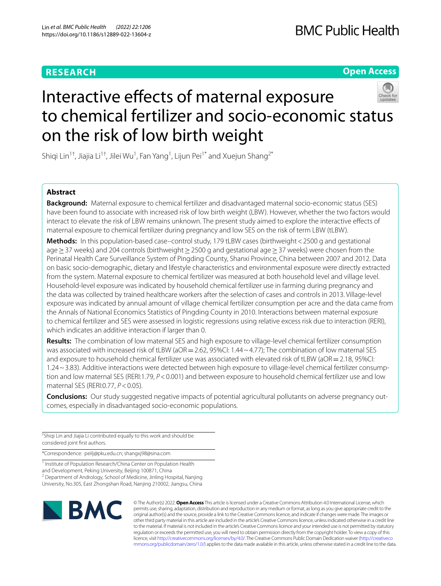# **RESEARCH**

**Open Access**

# Interactive effects of maternal exposure to chemical fertilizer and socio-economic status on the risk of low birth weight

Shiqi Lin $^{1\dagger}$ , Jiajia Li $^{1\dagger}$ , Jilei Wu $^{1}$ , Fan Yang $^{1}$ , Lijun Pei $^{1*}$  and Xuejun Shang $^{2*}$ 

# **Abstract**

**Background:** Maternal exposure to chemical fertilizer and disadvantaged maternal socio-economic status (SES) have been found to associate with increased risk of low birth weight (LBW). However, whether the two factors would interact to elevate the risk of LBW remains unknown. The present study aimed to explore the interactive efects of maternal exposure to chemical fertilizer during pregnancy and low SES on the risk of term LBW (tLBW).

**Methods:** In this population-based case–control study, 179 tLBW cases (birthweight<2500 g and gestational age ≥ 37 weeks) and 204 controls (birthweight ≥ 2500 g and gestational age ≥ 37 weeks) were chosen from the Perinatal Health Care Surveillance System of Pingding County, Shanxi Province, China between 2007 and 2012. Data on basic socio-demographic, dietary and lifestyle characteristics and environmental exposure were directly extracted from the system. Maternal exposure to chemical fertilizer was measured at both household level and village level. Household-level exposure was indicated by household chemical fertilizer use in farming during pregnancy and the data was collected by trained healthcare workers after the selection of cases and controls in 2013. Village-level exposure was indicated by annual amount of village chemical fertilizer consumption per acre and the data came from the Annals of National Economics Statistics of Pingding County in 2010. Interactions between maternal exposure to chemical fertilizer and SES were assessed in logistic regressions using relative excess risk due to interaction (RERI), which indicates an additive interaction if larger than 0.

**Results:** The combination of low maternal SES and high exposure to village-level chemical fertilizer consumption was associated with increased risk of tLBW (aOR = 2.62, 95%CI: 1.44 ~ 4.77); The combination of low maternal SES and exposure to household chemical fertilizer use was associated with elevated risk of tLBW (aOR  $=$  2.18, 95%CI: 1.24~3.83). Additive interactions were detected between high exposure to village-level chemical fertilizer consumption and low maternal SES (RERI:1.79, *P*<0.001) and between exposure to household chemical fertilizer use and low maternal SES (RERI:0.77, *P*<0.05).

**Conclusions:** Our study suggested negative impacts of potential agricultural pollutants on adverse pregnancy outcomes, especially in disadvantaged socio-economic populations.

† Shiqi Lin and Jiajia Li contributed equally to this work and should be considered joint frst authors.

\*Correspondence: peilj@pku.edu.cn; shangxj98@sina.com

<sup>1</sup> Institute of Population Research/China Center on Population Health and Development, Peking University, Beijing 100871, China <sup>2</sup> Department of Andrology, School of Medicine, Jinling Hospital, Nanjing University, No.305, East Zhongshan Road, Nanjing 210002, Jiangsu, China



© The Author(s) 2022. **Open Access** This article is licensed under a Creative Commons Attribution 4.0 International License, which permits use, sharing, adaptation, distribution and reproduction in any medium or format, as long as you give appropriate credit to the original author(s) and the source, provide a link to the Creative Commons licence, and indicate if changes were made. The images or other third party material in this article are included in the article's Creative Commons licence, unless indicated otherwise in a credit line to the material. If material is not included in the article's Creative Commons licence and your intended use is not permitted by statutory regulation or exceeds the permitted use, you will need to obtain permission directly from the copyright holder. To view a copy of this licence, visit [http://creativecommons.org/licenses/by/4.0/.](http://creativecommons.org/licenses/by/4.0/) The Creative Commons Public Domain Dedication waiver ([http://creativeco](http://creativecommons.org/publicdomain/zero/1.0/) [mmons.org/publicdomain/zero/1.0/](http://creativecommons.org/publicdomain/zero/1.0/)) applies to the data made available in this article, unless otherwise stated in a credit line to the data.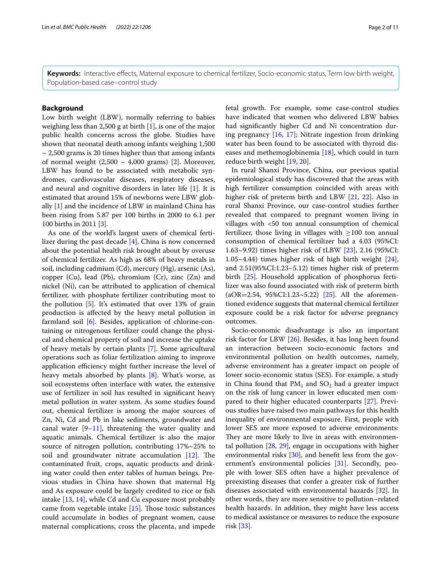**Keywords:** Interactive efects, Maternal exposure to chemical fertilizer, Socio-economic status, Term low birth weight, Population-based case–control study

# **Background**

Low birth weight (LBW), normally referring to babies weighing less than 2,500 g at birth  $[1]$  $[1]$ , is one of the major public health concerns across the globe. Studies have shown that neonatal death among infants weighing 1,500  $\sim$  2,500 grams is 20 times higher than that among infants of normal weight  $(2,500 \sim 4,000$  grams) [\[2](#page-9-1)]. Moreover, LBW has found to be associated with metabolic syndromes, cardiovascular diseases, respiratory diseases, and neural and cognitive disorders in later life [\[1\]](#page-9-0). It is estimated that around 15% of newborns were LBW globally [[1\]](#page-9-0) and the incidence of LBW in mainland China has been rising from 5.87 per 100 births in 2000 to 6.1 per 100 births in 2011 [[3\]](#page-9-2).

As one of the world's largest users of chemical fertilizer during the past decade [\[4](#page-9-3)], China is now concerned about the potential health risk brought about by overuse of chemical fertilizer. As high as 68% of heavy metals in soil, including cadmium (Cd), mercury (Hg), arsenic (As), copper (Cu), lead (Pb), chromium (Cr), zinc (Zn) and nickel (Ni), can be attributed to application of chemical fertilizer, with phosphate fertilizer contributing most to the pollution [[5\]](#page-9-4). It's estimated that over 13% of grain production is afected by the heavy metal pollution in farmland soil [\[6](#page-9-5)]. Besides, application of chlorine-containing or nitrogenous fertilizer could change the physical and chemical property of soil and increase the uptake of heavy metals by certain plants [[7\]](#page-9-6). Some agricultural operations such as foliar fertilization aiming to improve application efficiency might further increase the level of heavy metals absorbed by plants [\[8](#page-9-7)]. What's worse, as soil ecosystems often interface with water, the extensive use of fertilizer in soil has resulted in signifcant heavy metal pollution in water system. As some studies found out, chemical fertilizer is among the major sources of Zn, Ni, Cd and Pb in lake sediments, groundwater and canal water  $[9-11]$  $[9-11]$ , threatening the water quality and aquatic animals. Chemical fertilizer is also the major source of nitrogen pollution, contributing 17%~25% to soil and groundwater nitrate accumulation  $[12]$  $[12]$ . The contaminated fruit, crops, aquatic products and drinking water could then enter tables of human beings. Previous studies in China have shown that maternal Hg and As exposure could be largely credited to rice or fsh intake [[13](#page-9-11), [14](#page-9-12)], while Cd and Cu exposure most probably came from vegetable intake  $[15]$  $[15]$ . Those toxic substances could accumulate in bodies of pregnant women, cause maternal complications, cross the placenta, and impede

fetal growth. For example, some case-control studies have indicated that women who delivered LBW babies had signifcantly higher Cd and Ni concentration during pregnancy [[16,](#page-9-14) [17\]](#page-9-15); Nitrate ingestion from drinking water has been found to be associated with thyroid diseases and methemoglobinemia [\[18\]](#page-9-16), which could in turn reduce birth weight [\[19,](#page-9-17) [20](#page-9-18)].

In rural Shanxi Province, China, our previous spatial epidemiological study has discovered that the areas with high fertilizer consumption coincided with areas with higher risk of preterm birth and LBW [\[21](#page-9-19), [22](#page-9-20)]. Also in rural Shanxi Province, our case-control studies further revealed that compared to pregnant women living in villages with <50 ton annual consumption of chemical fertilizer, those living in villages with  $\geq$ 100 ton annual consumption of chemical fertilizer had a 4.03 (95%CI: 1.63~9.92) times higher risk of tLBW [[23](#page-9-21)], 2.16 (95%CI: 1.05~4.44) times higher risk of high birth weight  $[24]$  $[24]$ , and 2.51(95%CI:1.23~5.12) times higher risk of preterm birth [[25\]](#page-9-23). Household application of phosphorus fertilizer was also found associated with risk of preterm birth (aOR=2.54, 95%CI:1.23~5.22) [[25](#page-9-23)]. All the aforementioned evidence suggests that maternal chemical fertilizer exposure could be a risk factor for adverse pregnancy outcomes.

Socio-economic disadvantage is also an important risk factor for LBW [[26\]](#page-9-24). Besides, it has long been found an interaction between socio-economic factors and environmental pollution on health outcomes, namely, adverse environment has a greater impact on people of lower socio-economic status (SES). For example, a study in China found that  $PM_1$  and  $SO_2$  had a greater impact on the risk of lung cancer in lower educated men compared to their higher educated counterparts [\[27](#page-9-25)]. Previous studies have raised two main pathways for this health inequality of environmental exposure. First, people with lower SES are more exposed to adverse environments: They are more likely to live in areas with environmental pollution [[28,](#page-9-26) [29](#page-9-27)], engage in occupations with higher environmental risks [[30](#page-9-28)], and benefit less from the government's environmental policies [\[31](#page-9-29)]. Secondly, people with lower SES often have a higher prevalence of preexisting diseases that confer a greater risk of further diseases associated with environmental hazards [[32\]](#page-10-0). In other words, they are more sensitive to pollution–related health hazards. In addition, they might have less access to medical assistance or measures to reduce the exposure risk [\[33](#page-10-1)].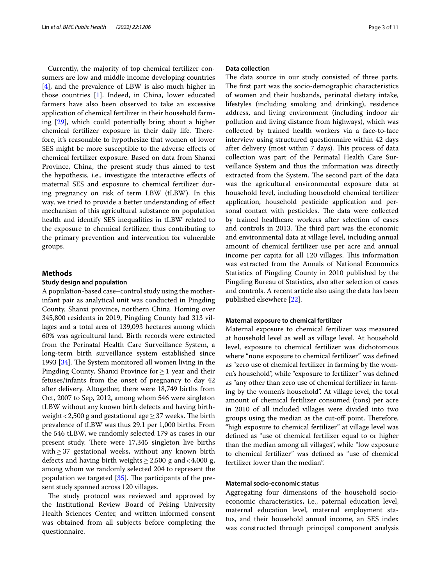Currently, the majority of top chemical fertilizer consumers are low and middle income developing countries [[4\]](#page-9-3), and the prevalence of LBW is also much higher in those countries [[1\]](#page-9-0). Indeed, in China, lower educated farmers have also been observed to take an excessive application of chemical fertilizer in their household farming [\[29\]](#page-9-27), which could potentially bring about a higher chemical fertilizer exposure in their daily life. Therefore, it's reasonable to hypothesize that women of lower SES might be more susceptible to the adverse efects of chemical fertilizer exposure. Based on data from Shanxi Province, China, the present study thus aimed to test the hypothesis, i.e., investigate the interactive efects of maternal SES and exposure to chemical fertilizer during pregnancy on risk of term LBW (tLBW). In this way, we tried to provide a better understanding of efect mechanism of this agricultural substance on population health and identify SES inequalities in tLBW related to the exposure to chemical fertilizer, thus contributing to the primary prevention and intervention for vulnerable groups.

# **Methods**

## **Study design and population**

A population-based case–control study using the motherinfant pair as analytical unit was conducted in Pingding County, Shanxi province, northern China. Homing over 345,800 residents in 2019, Pingding County had 313 villages and a total area of 139,093 hectares among which 60% was agricultural land. Birth records were extracted from the Perinatal Health Care Surveillance System, a long-term birth surveillance system established since 1993  $[34]$  $[34]$ . The System monitored all women living in the Pingding County, Shanxi Province for≥1 year and their fetuses/infants from the onset of pregnancy to day 42 after delivery. Altogether, there were 18,749 births from Oct, 2007 to Sep, 2012, among whom 546 were singleton tLBW without any known birth defects and having birthweight < 2,500 g and gestational age  $\geq$  37 weeks. The birth prevalence of tLBW was thus 29.1 per 1,000 births. From the 546 tLBW, we randomly selected 179 as cases in our present study. There were 17,345 singleton live births with≥37 gestational weeks, without any known birth defects and having birth weights  $\geq 2,500$  g and <4,000 g, among whom we randomly selected 204 to represent the population we targeted  $[35]$  $[35]$ . The participants of the present study spanned across 120 villages.

The study protocol was reviewed and approved by the Institutional Review Board of Peking University Health Sciences Center, and written informed consent was obtained from all subjects before completing the questionnaire.

# **Data collection**

The data source in our study consisted of three parts. The first part was the socio-demographic characteristics of women and their husbands, perinatal dietary intake, lifestyles (including smoking and drinking), residence address, and living environment (including indoor air pollution and living distance from highways), which was collected by trained health workers via a face-to-face interview using structured questionnaire within 42 days after delivery (most within 7 days). This process of data collection was part of the Perinatal Health Care Surveillance System and thus the information was directly extracted from the System. The second part of the data was the agricultural environmental exposure data at household level, including household chemical fertilizer application, household pesticide application and personal contact with pesticides. The data were collected by trained healthcare workers after selection of cases and controls in 2013. The third part was the economic and environmental data at village level, including annual amount of chemical fertilizer use per acre and annual income per capita for all 120 villages. This information was extracted from the Annals of National Economics Statistics of Pingding County in 2010 published by the Pingding Bureau of Statistics, also after selection of cases and controls. A recent article also using the data has been published elsewhere [[22\]](#page-9-20).

## **Maternal exposure to chemical fertilizer**

Maternal exposure to chemical fertilizer was measured at household level as well as village level. At household level, exposure to chemical fertilizer was dichotomous where "none exposure to chemical fertilizer" was defned as "zero use of chemical fertilizer in farming by the women's household", while "exposure to fertilizer" was defned as "any other than zero use of chemical fertilizer in farming by the women's household". At village level, the total amount of chemical fertilizer consumed (tons) per acre in 2010 of all included villages were divided into two groups using the median as the cut-off point. Therefore, "high exposure to chemical fertilizer" at village level was defned as "use of chemical fertilizer equal to or higher than the median among all villages", while "low exposure to chemical fertilizer" was defned as "use of chemical fertilizer lower than the median".

# **Maternal socio‑economic status**

Aggregating four dimensions of the household socioeconomic characteristics, i.e., paternal education level, maternal education level, maternal employment status, and their household annual income, an SES index was constructed through principal component analysis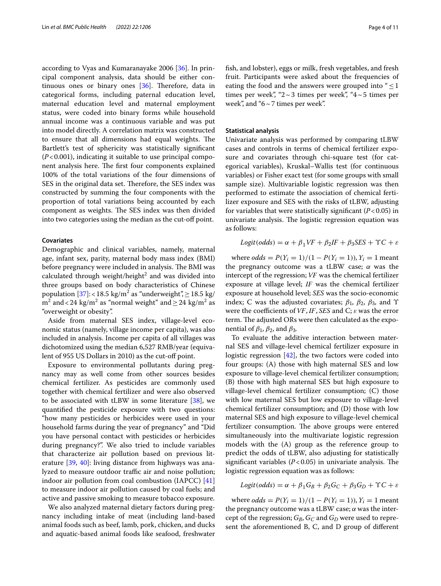according to Vyas and Kumaranayake 2006 [\[36\]](#page-10-4). In principal component analysis, data should be either continuous ones or binary ones  $[36]$  $[36]$ . Therefore, data in categorical forms, including paternal education level, maternal education level and maternal employment status, were coded into binary forms while household annual income was a continuous variable and was put into model directly. A correlation matrix was constructed to ensure that all dimensions had equal weights. The Bartlett's test of sphericity was statistically signifcant (*P*<0.001), indicating it suitable to use principal component analysis here. The first four components explained 100% of the total variations of the four dimensions of SES in the original data set. Therefore, the SES index was constructed by summing the four components with the proportion of total variations being accounted by each component as weights. The SES index was then divided into two categories using the median as the cut-off point.

## **Covariates**

Demographic and clinical variables, namely, maternal age, infant sex, parity, maternal body mass index (BMI) before pregnancy were included in analysis. The BMI was calculated through weight/height $^2$  and was divided into three groups based on body characteristics of Chinese population [\[37\]](#page-10-5): <18.5 kg/m<sup>2</sup> as "underweight", $\geq$ 18.5 kg/  $\text{m}^2$  and < 24 kg/m<sup>2</sup> as "normal weight" and  $\geq$  24 kg/m<sup>2</sup> as "overweight or obesity".

Aside from maternal SES index, village-level economic status (namely, village income per capita), was also included in analysis. Income per capita of all villages was dichotomized using the median 6,527 RMB/year (equivalent of 955 US Dollars in 2010) as the cut-of point.

Exposure to environmental pollutants during pregnancy may as well come from other sources besides chemical fertilizer. As pesticides are commonly used together with chemical fertilizer and were also observed to be associated with tLBW in some literature  $[38]$  $[38]$ , we quantifed the pesticide exposure with two questions: "how many pesticides or herbicides were used in your household farms during the year of pregnancy" and "Did you have personal contact with pesticides or herbicides during pregnancy?". We also tried to include variables that characterize air pollution based on previous literature [\[39](#page-10-7), [40\]](#page-10-8): living distance from highways was analyzed to measure outdoor traffic air and noise pollution; indoor air pollution from coal combustion (IAPCC) [[41](#page-10-9)] to measure indoor air pollution caused by coal fuels; and active and passive smoking to measure tobacco exposure.

We also analyzed maternal dietary factors during pregnancy including intake of meat (including land-based animal foods such as beef, lamb, pork, chicken, and ducks and aquatic-based animal foods like seafood, freshwater fsh, and lobster), eggs or milk, fresh vegetables, and fresh fruit. Participants were asked about the frequencies of eating the food and the answers were grouped into " $\leq$ 1 times per week", "2 ~ 3 times per week", "4 ~ 5 times per week", and "6~7 times per week".

# **Statistical analysis**

Univariate analysis was performed by comparing tLBW cases and controls in terms of chemical fertilizer exposure and covariates through chi-square test (for categorical variables), Kruskal–Wallis test (for continuous variables) or Fisher exact test (for some groups with small sample size). Multivariable logistic regression was then performed to estimate the association of chemical fertilizer exposure and SES with the risks of tLBW, adjusting for variables that were statistically significant  $(P<0.05)$  in univariate analysis. The logistic regression equation was as follows:

$$
Logit(odds) = \alpha + \beta_1 VF + \beta_2 IF + \beta_3 SES + \Upsilon C + \varepsilon
$$

where  $odds = P(Y_i = 1)/(1 - P(Y_i = 1)), Y_i = 1$  meant the pregnancy outcome was a tLBW case;  $\alpha$  was the intercept of the regression; VF was the chemical fertilizer exposure at village level; IF was the chemical fertilizer exposure at household level; SES was the socio-economic index; C was the adjusted covariates;  $\beta_1$ ,  $\beta_2$ ,  $\beta_3$ , and Υ were the coefficients of VF, IF, SES and C;  $\varepsilon$  was the error term. The adjusted ORs were then calculated as the exponential of  $\beta_1$ ,  $\beta_2$ , and  $\beta_3$ .

To evaluate the additive interaction between maternal SES and village-level chemical fertilizer exposure in logistic regression [\[42\]](#page-10-10), the two factors were coded into four groups: (A) those with high maternal SES and low exposure to village-level chemical fertilizer consumption; (B) those with high maternal SES but high exposure to village-level chemical fertilizer consumption; (C) those with low maternal SES but low exposure to village-level chemical fertilizer consumption; and (D) those with low maternal SES and high exposure to village-level chemical fertilizer consumption. The above groups were entered simultaneously into the multivariate logistic regression models with the (A) group as the reference group to predict the odds of tLBW, also adjusting for statistically significant variables  $(P<0.05)$  in univariate analysis. The logistic regression equation was as follows:

$$
Logit(odds) = \alpha + \beta_1 G_B + \beta_2 G_C + \beta_3 G_D + \Upsilon C + \varepsilon
$$

where  $odds = P(Y_i = 1)/(1 - P(Y_i = 1)), Y_i = 1$  meant the pregnancy outcome was a tLBW case;  $\alpha$  was the intercept of the regression;  $G_B$ ,  $G_C$  and  $G_D$  were used to represent the aforementioned B, C, and D group of diferent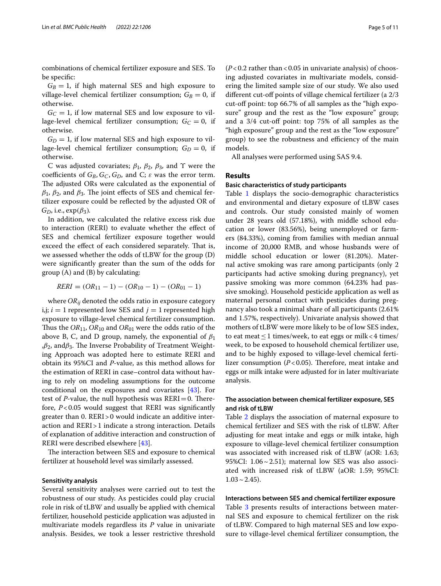combinations of chemical fertilizer exposure and SES. To be specifc:

 $G_B = 1$ , if high maternal SES and high exposure to village-level chemical fertilizer consumption;  $G_B = 0$ , if otherwise.

 $G<sub>C</sub> = 1$ , if low maternal SES and low exposure to village-level chemical fertilizer consumption;  $G_C = 0$ , if otherwise.

 $G_D = 1$ , if low maternal SES and high exposure to village-level chemical fertilizer consumption;  $G_D = 0$ , if otherwise.

C was adjusted covariates;  $\beta_1$ ,  $\beta_2$ ,  $\beta_3$ , and Y were the coefficients of  $G_B$ ,  $G_C$ ,  $G_D$ , and C;  $\varepsilon$  was the error term. The adjusted ORs were calculated as the exponential of  $β_1$ ,  $β_2$ , and  $β_3$ . The joint effects of SES and chemical fertilizer exposure could be refected by the adjusted OR of  $G_D$ , i.e.,  $exp(\beta_3)$ .

In addition, we calculated the relative excess risk due to interaction (RERI) to evaluate whether the efect of SES and chemical fertilizer exposure together would exceed the effect of each considered separately. That is, we assessed whether the odds of tLBW for the group (D) were signifcantly greater than the sum of the odds for group (A) and (B) by calculating:

 $RERI = (OR_{11} - 1) - (OR_{10} - 1) - (OR_{01} - 1)$ 

where  $OR_{ij}$  denoted the odds ratio in exposure category i,j;  $i = 1$  represented low SES and  $j = 1$  represented high exposure to village-level chemical fertilizer consumption. Thus the  $OR_{11}$ ,  $OR_{10}$  and  $OR_{01}$  were the odds ratio of the above B, C, and D group, namely, the exponential of  $\beta_1$ , $β_2$ , and $β_3$ . The Inverse Probability of Treatment Weighting Approach was adopted here to estimate RERI and obtain its 95%CI and *P*-value, as this method allows for the estimation of RERI in case–control data without having to rely on modeling assumptions for the outcome conditional on the exposures and covariates [[43](#page-10-11)]. For test of *P*-value, the null hypothesis was  $RERI = 0$ . Therefore, *P*<0.05 would suggest that RERI was signifcantly greater than 0. RERI>0 would indicate an additive interaction and RERI>1 indicate a strong interaction. Details of explanation of additive interaction and construction of RERI were described elsewhere [\[43\]](#page-10-11).

The interaction between SES and exposure to chemical fertilizer at household level was similarly assessed.

# **Sensitivity analysis**

Several sensitivity analyses were carried out to test the robustness of our study. As pesticides could play crucial role in risk of tLBW and usually be applied with chemical fertilizer, household pesticide application was adjusted in multivariate models regardless its *P* value in univariate analysis. Besides, we took a lesser restrictive threshold  $(P<0.2$  rather than < 0.05 in univariate analysis) of choosing adjusted covariates in multivariate models, considering the limited sample size of our study. We also used different cut-off points of village chemical fertilizer (a 2/3) cut-off point: top 66.7% of all samples as the "high exposure" group and the rest as the "low exposure" group; and a 3/4 cut-off point: top 75% of all samples as the "high exposure" group and the rest as the "low exposure" group) to see the robustness and efficiency of the main models.

All analyses were performed using SAS 9.4.

# **Results**

## **Basic characteristics of study participants**

Table [1](#page-5-0) displays the socio-demographic characteristics and environmental and dietary exposure of tLBW cases and controls. Our study consisted mainly of women under 28 years old (57.18%), with middle school education or lower (83.56%), being unemployed or farmers (84.33%), coming from families with median annual income of 20,000 RMB, and whose husbands were of middle school education or lower (81.20%). Maternal active smoking was rare among participants (only 2 participants had active smoking during pregnancy), yet passive smoking was more common (64.23% had passive smoking). Household pesticide application as well as maternal personal contact with pesticides during pregnancy also took a minimal share of all participants (2.61% and 1.57%, respectively). Univariate analysis showed that mothers of tLBW were more likely to be of low SES index, to eat meat  $\leq$  1 times/week, to eat eggs or milk < 4 times/ week, to be exposed to household chemical fertilizer use, and to be highly exposed to village-level chemical fertilizer consumption  $(P<0.05)$ . Therefore, meat intake and eggs or milk intake were adjusted for in later multivariate analysis.

# **The association between chemical fertilizer exposure, SES and risk of tLBW**

Table [2](#page-6-0) displays the association of maternal exposure to chemical fertilizer and SES with the risk of tLBW. After adjusting for meat intake and eggs or milk intake, high exposure to village-level chemical fertilizer consumption was associated with increased risk of tLBW (aOR: 1.63; 95%CI:  $1.06 \sim 2.51$ ); maternal low SES was also associated with increased risk of tLBW (aOR: 1.59; 95%CI:  $1.03 \sim 2.45$ ).

# **Interactions between SES and chemical fertilizer exposure**

Table [3](#page-6-1) presents results of interactions between maternal SES and exposure to chemical fertilizer on the risk of tLBW. Compared to high maternal SES and low exposure to village-level chemical fertilizer consumption, the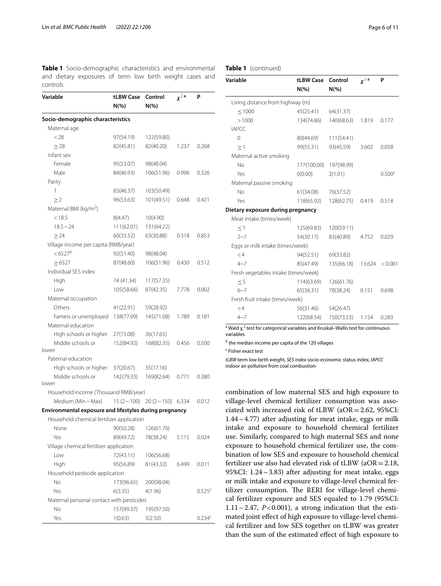<span id="page-5-0"></span>**Table 1** Socio-demographic characteristics and environmental and dietary exposures of term low birth weight cases and controls

| Variable                                               | tLBW Case              | Control                            | $x^2$ <sup>a</sup> | P                  |  |
|--------------------------------------------------------|------------------------|------------------------------------|--------------------|--------------------|--|
|                                                        | $N(\%)$                | $N(\%)$                            |                    |                    |  |
| Socio-demographic characteristics                      |                        |                                    |                    |                    |  |
| Maternal age                                           |                        |                                    |                    |                    |  |
| < 28                                                   | 97(54.19)              | 122(59.80)                         |                    |                    |  |
| $\geq$ 28                                              | 82(45.81)              | 82(40.20)                          | 1.237              | 0.268              |  |
| Infant sex                                             |                        |                                    |                    |                    |  |
| Female                                                 | 95(53.07)              | 98(48.04)                          |                    |                    |  |
| Male                                                   | 84(46.93)              | 106(51.96)                         | 0.996              | 0.326              |  |
| Parity                                                 |                        |                                    |                    |                    |  |
| 1                                                      | 83(46.37)              | 103(50.49)                         |                    |                    |  |
| >2                                                     | 96(53.63)              | 101(49.51)                         | 0.648              | 0.421              |  |
| Maternal BMI (kg/m <sup>2</sup> )                      |                        |                                    |                    |                    |  |
| < 18.5                                                 | 8(4.47)                | 10(4.90)                           |                    |                    |  |
| $18.5 - 24$                                            | 111(62.01)             | 131(64.22)                         |                    |                    |  |
| > 24                                                   | 60(33.52)              | 63(30.88)                          | 0.318              | 0.853              |  |
| Village income per capita (RMB/year)                   |                        |                                    |                    |                    |  |
| $< 6527^{\rm b}$                                       | 92(51.40)              | 98(48.04)                          |                    |                    |  |
| >6527                                                  | 87(48.60)              | 106(51.96)                         | 0.430              | 0.512              |  |
| Individual SES index                                   |                        |                                    |                    |                    |  |
| High                                                   | 74 (41.34)             | 117(57.35)                         |                    |                    |  |
| Low                                                    | 105(58.66)             | 87(42.35)                          | 7.778              | 0.002              |  |
| Maternal occupation                                    |                        |                                    |                    |                    |  |
| Others                                                 |                        |                                    |                    |                    |  |
|                                                        | 41(22.91)              | 59(28.92)                          |                    |                    |  |
| Famers or unemployed<br>Maternal education             | 138(77.09)             | 145(71.08)                         | 1.789              | 0.181              |  |
| High schools or higher                                 | 27(15.08)              | 36(17.65)                          |                    |                    |  |
| Middle schools or                                      | 152(84.92)             | 168(82.35)                         | 0.456              | 0.500              |  |
| lower                                                  |                        |                                    |                    |                    |  |
| Paternal education                                     |                        |                                    |                    |                    |  |
| High schools or higher                                 | 37(20.67)              | 35(17.16)                          |                    |                    |  |
| Middle schools or<br>lower                             | 142(79.33)             | 169(82.64)                         | 0.771              | 0.380              |  |
| Household income (Thousand RMB/year)                   |                        |                                    |                    |                    |  |
| Medium (Min~Max)                                       |                        | $15(2 \sim 100)$ 20 $(2 \sim 150)$ | 6.334              | 0.012              |  |
| Environmental exposure and lifestyles during pregnancy |                        |                                    |                    |                    |  |
| Household chemical fertilizer application              |                        |                                    |                    |                    |  |
| None                                                   |                        |                                    |                    |                    |  |
| Yes                                                    | 90(50.28)<br>89(49.72) | 126(61.76)<br>78(38.24)            | 5.115              | 0.024              |  |
| Village chemical fertilizer application                |                        |                                    |                    |                    |  |
| Low                                                    | 72(43.11)              |                                    |                    |                    |  |
|                                                        |                        | 106(56.68)                         |                    |                    |  |
| High                                                   | 95(56.89)              | 81(43.32)                          | 6.499              | 0.011              |  |
| Household pesticide application                        |                        |                                    |                    |                    |  |
| No                                                     | 173(96.65)             | 200(98.04)                         |                    |                    |  |
| Yes                                                    | 6(3.35)                | 4(1.96)                            |                    | $0.525^c$          |  |
| Maternal personal contact with pesticides              |                        |                                    |                    |                    |  |
| No                                                     | 157(99.37)             | 195(97.50)                         |                    |                    |  |
| Yes                                                    | 1(0.63)                | 5(2.50)                            |                    | 0.234 <sup>c</sup> |  |

# **Table 1** (continued)

| Variable                             | tLBW Case<br>$N(\% )$ | Control<br>$N(\% )$ | $x^2$ <sup>a</sup> | P                  |
|--------------------------------------|-----------------------|---------------------|--------------------|--------------------|
| Living distance from highway (m)     |                       |                     |                    |                    |
| < 1000                               | 45(25.41)             | 64(31.37)           |                    |                    |
| >1000                                | 134(74.86)            | 140(68.63)          | 1.819              | 0.177              |
| <b>IAPCC</b>                         |                       |                     |                    |                    |
| $\Omega$                             | 80(44.69)             | 111(54.41)          |                    |                    |
| >1                                   | 99(55.31)             | 93(45.59)           | 3.602              | 0.058              |
| Maternal active smoking              |                       |                     |                    |                    |
| No                                   | 177(100.00)           | 197(98.99)          |                    |                    |
| Yes                                  | O(0.00)               | 2(1.01)             |                    | 0.500 <sup>c</sup> |
| Maternal passive smoking             |                       |                     |                    |                    |
| No                                   | 61(34.08)             | 76(37.52)           |                    |                    |
| Yes                                  | 118(65.92)            | 128(62.75)          | 0.419              | 0.518              |
| Dietary exposure during pregnancy    |                       |                     |                    |                    |
| Meat intake (times/week)             |                       |                     |                    |                    |
| $\leq$ 1                             | 125(69.83)            | 120(59.11)          |                    |                    |
| $2 - 7$                              | 54(30.17)             | 83(40.89)           | 4.752              | 0.029              |
| Eggs or milk intake (times/week)     |                       |                     |                    |                    |
| $\lt 4$                              | 94(52.51)             | 69(33.82)           |                    |                    |
| $4 - 7$                              | 85(47.49)             | 135(66.18)          | 13.624             | < 0.001            |
| Fresh vegetables intake (times/week) |                       |                     |                    |                    |
| $\leq$ 5                             | 114(63.69)            | 126(61.76)          |                    |                    |
| $6 - 7$                              | 65(36.31)             | 78(38.24)           | 0.151              | 0.698              |
| Fresh fruit intake (times/week)      |                       |                     |                    |                    |
| $\lt$ 4                              | 56(31.46)             | 54(26.47)           |                    |                    |
| $4 - 7$                              | 122(68.54)            | 150(73.53)          | 1.154              | 0.283              |

<sup>a</sup> Wald χ.<sup>2</sup> test for categorical variables and Kruskal-Wallis test for continuous variables

**b** the median income per capita of the 120 villages

c Fisher exact test

*tLBW* term low birth weight, *SES index* socio-economic status index, *IAPCC* indoor air pollution from coal combustion

combination of low maternal SES and high exposure to village-level chemical fertilizer consumption was associated with increased risk of tLBW ( $aOR = 2.62$ ,  $95\%CI$ :  $1.44 \sim 4.77$ ) after adjusting for meat intake, eggs or milk intake and exposure to household chemical fertilizer use. Similarly, compared to high maternal SES and none exposure to household chemical fertilizer use, the combination of low SES and exposure to household chemical fertilizer use also had elevated risk of tLBW ( $aOR = 2.18$ , 95%CI:  $1.24 \sim 3.83$ ) after adjusting for meat intake, eggs or milk intake and exposure to village-level chemical fertilizer consumption. The RERI for village-level chemical fertilizer exposure and SES equaled to 1.79 (95%CI:  $1.11 \sim 2.47$ ,  $P < 0.001$ ), a strong indication that the estimated joint efect of high exposure to village-level chemical fertilizer and low SES together on tLBW was greater than the sum of the estimated efect of high exposure to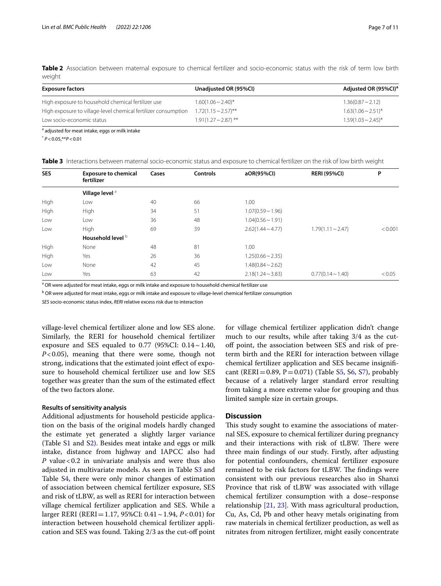<span id="page-6-0"></span>**Table 2** Association between maternal exposure to chemical fertilizer and socio-economic status with the risk of term low birth weight

| <b>Exposure factors</b>                                        | Unadjusted OR (95%CI)     | Adjusted OR (95%CI) <sup>a</sup> |
|----------------------------------------------------------------|---------------------------|----------------------------------|
| High exposure to household chemical fertilizer use             | $1.60(1.06 \sim 2.40)^*$  | $1.36(0.87 \sim 2.12)$           |
| High exposure to village-level chemical fertilizer consumption | $1.72(1.15 \sim 2.57)$ ** | $1.63(1.06 \sim 2.51)^{*}$       |
| Low socio-economic status                                      | $1.91(1.27 \sim 2.87)$ ** | $1.59(1.03 \sim 2.45)^{*}$       |
| $\sim$ $\sim$ $\sim$ $\sim$ $\sim$ $\sim$ $\sim$               |                           |                                  |

<sup>a</sup> adjusted for meat intake, eggs or milk intake

\* *P*<0.05,\*\**P*<0.01

<span id="page-6-1"></span>**Table 3** Interactions between maternal socio-economic status and exposure to chemical fertilizer on the risk of low birth weight

| <b>SES</b> | <b>Exposure to chemical</b><br>fertilizer | Cases | <b>Controls</b> | aOR(95%CI)             | <b>RERI (95%CI)</b>       | P       |
|------------|-------------------------------------------|-------|-----------------|------------------------|---------------------------|---------|
|            | Village level <sup>a</sup>                |       |                 |                        |                           |         |
| High       | Low                                       | 40    | 66              | 1.00                   |                           |         |
| High       | High                                      | 34    | 51              | $1.07(0.59 \sim 1.96)$ |                           |         |
| Low        | Low                                       | 36    | 48              | $1.04(0.56 \sim 1.91)$ |                           |         |
| Low        | High                                      | 69    | 39              | $2.62(1.44 \sim 4.77)$ | $1.79(1.11 \approx 2.47)$ | < 0.001 |
|            | Household level b                         |       |                 |                        |                           |         |
| High       | None                                      | 48    | 81              | 1.00                   |                           |         |
| High       | Yes                                       | 26    | 36              | $1.25(0.66 \sim 2.35)$ |                           |         |
| Low        | None                                      | 42    | 45              | $1.48(0.84 \sim 2.62)$ |                           |         |
| Low        | Yes                                       | 63    | 42              | $2.18(1.24 \sim 3.83)$ | $0.77(0.14 \sim 1.40)$    | < 0.05  |

<sup>a</sup> OR were adjusted for meat intake, eggs or milk intake and exposure to household chemical fertilizer use

<sup>b</sup> OR were adjusted for meat intake, eggs or milk intake and exposure to village-level chemical fertilizer consumption

*SES* socio-economic status index, *RERI* relative excess risk due to interaction

village-level chemical fertilizer alone and low SES alone. Similarly, the RERI for household chemical fertilizer exposure and SES equaled to 0.77 (95%CI:  $0.14 \sim 1.40$ , *P*<0.05), meaning that there were some, though not strong, indications that the estimated joint efect of exposure to household chemical fertilizer use and low SES together was greater than the sum of the estimated efect of the two factors alone.

## **Results of sensitivity analysis**

Additional adjustments for household pesticide application on the basis of the original models hardly changed the estimate yet generated a slightly larger variance (Table [S1](#page-8-0) and S[2\)](#page-8-0). Besides meat intake and eggs or milk intake, distance from highway and IAPCC also had *P* value < 0.2 in univariate analysis and were thus also adjusted in multivariate models. As seen in Table S[3](#page-8-0) and Table S[4,](#page-8-0) there were only minor changes of estimation of association between chemical fertilizer exposure, SES and risk of tLBW, as well as RERI for interaction between village chemical fertilizer application and SES. While a larger RERI (RERI=1.17, 95%CI: 0.41~1.94, *P*<0.01) for interaction between household chemical fertilizer application and SES was found. Taking 2/3 as the cut-of point for village chemical fertilizer application didn't change much to our results, while after taking 3/4 as the cutof point, the association between SES and risk of preterm birth and the RERI for interaction between village chemical fertilizer application and SES became insignif-cant (RERI = 0.89, P = 0.071) (Table [S5](#page-8-0), [S6](#page-8-0), [S7](#page-8-0)), probably because of a relatively larger standard error resulting from taking a more extreme value for grouping and thus limited sample size in certain groups.

# **Discussion**

This study sought to examine the associations of maternal SES, exposure to chemical fertilizer during pregnancy and their interactions with risk of tLBW. There were three main fndings of our study. Firstly, after adjusting for potential confounders, chemical fertilizer exposure remained to be risk factors for tLBW. The findings were consistent with our previous researches also in Shanxi Province that risk of tLBW was associated with village chemical fertilizer consumption with a dose–response relationship [[21](#page-9-19), [23](#page-9-21)]. With mass agricultural production, Cu, As, Cd, Pb and other heavy metals originating from raw materials in chemical fertilizer production, as well as nitrates from nitrogen fertilizer, might easily concentrate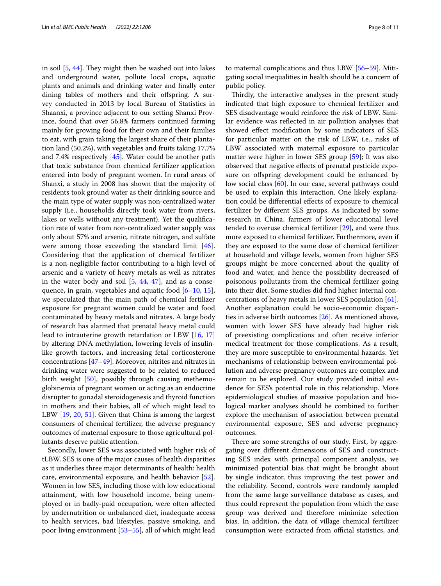in soil  $[5, 44]$  $[5, 44]$  $[5, 44]$  $[5, 44]$ . They might then be washed out into lakes and underground water, pollute local crops, aquatic plants and animals and drinking water and fnally enter dining tables of mothers and their offspring. A survey conducted in 2013 by local Bureau of Statistics in Shaanxi, a province adjacent to our setting Shanxi Province, found that over 56.8% farmers continued farming mainly for growing food for their own and their families to eat, with grain taking the largest share of their plantation land (50.2%), with vegetables and fruits taking 17.7% and 7.4% respectively [[45\]](#page-10-13). Water could be another path that toxic substance from chemical fertilizer application entered into body of pregnant women. In rural areas of Shanxi, a study in 2008 has shown that the majority of residents took ground water as their drinking source and the main type of water supply was non-centralized water supply (i.e., households directly took water from rivers, lakes or wells without any treatment). Yet the qualifcation rate of water from non-centralized water supply was only about 57% and arsenic, nitrate nitrogen, and sulfate were among those exceeding the standard limit [\[46](#page-10-14)]. Considering that the application of chemical fertilizer is a non-negligible factor contributing to a high level of arsenic and a variety of heavy metals as well as nitrates in the water body and soil  $[5, 44, 47]$  $[5, 44, 47]$  $[5, 44, 47]$  $[5, 44, 47]$  $[5, 44, 47]$  $[5, 44, 47]$ , and as a consequence, in grain, vegetables and aquatic food  $[6-10, 15]$  $[6-10, 15]$  $[6-10, 15]$  $[6-10, 15]$ , we speculated that the main path of chemical fertilizer exposure for pregnant women could be water and food contaminated by heavy metals and nitrates. A large body of research has alarmed that prenatal heavy metal could lead to intrauterine growth retardation or LBW [\[16](#page-9-14), [17](#page-9-15)] by altering DNA methylation, lowering levels of insulinlike growth factors, and increasing fetal corticosterone concentrations [[47–](#page-10-15)[49\]](#page-10-16). Moreover, nitrites and nitrates in drinking water were suggested to be related to reduced birth weight [[50\]](#page-10-17), possibly through causing methemoglobinemia of pregnant women or acting as an endocrine disrupter to gonadal steroidogenesis and thyroid function in mothers and their babies, all of which might lead to LBW [\[19](#page-9-17), [20](#page-9-18), [51](#page-10-18)]. Given that China is among the largest consumers of chemical fertilizer, the adverse pregnancy outcomes of maternal exposure to those agricultural pollutants deserve public attention.

Secondly, lower SES was associated with higher risk of tLBW. SES is one of the major causes of health disparities as it underlies three major determinants of health: health care, environmental exposure, and health behavior [\[52](#page-10-19)]. Women in low SES, including those with low educational attainment, with low household income, being unemployed or in badly-paid occupation, were often afected by undernutrition or unbalanced diet, inadequate access to health services, bad lifestyles, passive smoking, and poor living environment [[53–](#page-10-20)[55](#page-10-21)], all of which might lead

to maternal complications and thus LBW [\[56–](#page-10-22)[59\]](#page-10-23). Mitigating social inequalities in health should be a concern of public policy.

Thirdly, the interactive analyses in the present study indicated that high exposure to chemical fertilizer and SES disadvantage would reinforce the risk of LBW. Similar evidence was refected in air pollution analyses that showed efect modifcation by some indicators of SES for particular matter on the risk of LBW, i.e., risks of LBW associated with maternal exposure to particular matter were higher in lower SES group [\[59](#page-10-23)]; It was also observed that negative efects of prenatal pesticide exposure on ofspring development could be enhanced by low social class [[60\]](#page-10-24). In our case, several pathways could be used to explain this interaction. One likely explanation could be diferential efects of exposure to chemical fertilizer by diferent SES groups. As indicated by some research in China, farmers of lower educational level tended to overuse chemical fertilizer [\[29](#page-9-27)], and were thus more exposed to chemical fertilizer. Furthermore, even if they are exposed to the same dose of chemical fertilizer at household and village levels, women from higher SES groups might be more concerned about the quality of food and water, and hence the possibility decreased of poisonous pollutants from the chemical fertilizer going into their diet. Some studies did fnd higher internal concentrations of heavy metals in lower SES population [\[61](#page-10-25)]. Another explanation could be socio-economic disparities in adverse birth outcomes [\[26\]](#page-9-24). As mentioned above, women with lower SES have already had higher risk of preexisting complications and often receive inferior medical treatment for those complications. As a result, they are more susceptible to environmental hazards. Yet mechanisms of relationship between environmental pollution and adverse pregnancy outcomes are complex and remain to be explored. Our study provided initial evidence for SES's potential role in this relationship. More epidemiological studies of massive population and biological marker analyses should be combined to further explore the mechanism of association between prenatal environmental exposure, SES and adverse pregnancy outcomes.

There are some strengths of our study. First, by aggregating over diferent dimensions of SES and constructing SES index with principal component analysis, we minimized potential bias that might be brought about by single indicator, thus improving the test power and the reliability. Second, controls were randomly sampled from the same large surveillance database as cases, and thus could represent the population from which the case group was derived and therefore minimize selection bias. In addition, the data of village chemical fertilizer consumption were extracted from official statistics, and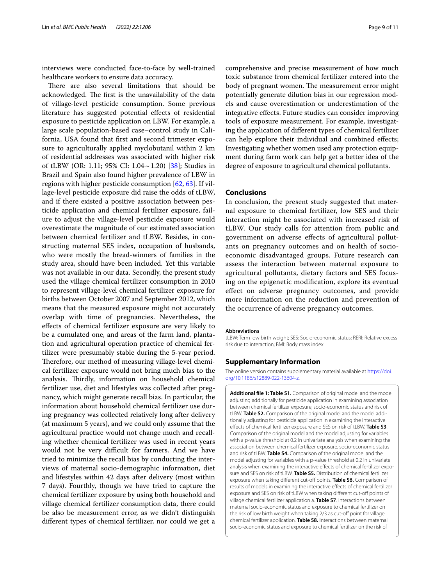interviews were conducted face-to-face by well-trained healthcare workers to ensure data accuracy.

There are also several limitations that should be acknowledged. The first is the unavailability of the data of village-level pesticide consumption. Some previous literature has suggested potential efects of residential exposure to pesticide application on LBW. For example, a large scale population-based case–control study in California, USA found that frst and second trimester exposure to agriculturally applied myclobutanil within 2 km of residential addresses was associated with higher risk of tLBW (OR: 1.11; 95% CI:  $1.04 \sim 1.20$ ) [\[38](#page-10-6)]; Studies in Brazil and Spain also found higher prevalence of LBW in regions with higher pesticide consumption [[62](#page-10-26), [63\]](#page-10-27). If village-level pesticide exposure did raise the odds of tLBW, and if there existed a positive association between pesticide application and chemical fertilizer exposure, failure to adjust the village-level pesticide exposure would overestimate the magnitude of our estimated association between chemical fertilizer and tLBW. Besides, in constructing maternal SES index, occupation of husbands, who were mostly the bread-winners of families in the study area, should have been included. Yet this variable was not available in our data. Secondly, the present study used the village chemical fertilizer consumption in 2010 to represent village-level chemical fertilizer exposure for births between October 2007 and September 2012, which means that the measured exposure might not accurately overlap with time of pregnancies. Nevertheless, the efects of chemical fertilizer exposure are very likely to be a cumulated one, and areas of the farm land, plantation and agricultural operation practice of chemical fertilizer were presumably stable during the 5-year period. Therefore, our method of measuring village-level chemical fertilizer exposure would not bring much bias to the analysis. Thirdly, information on household chemical fertilizer use, diet and lifestyles was collected after pregnancy, which might generate recall bias. In particular, the information about household chemical fertilizer use during pregnancy was collected relatively long after delivery (at maximum 5 years), and we could only assume that the agricultural practice would not change much and recalling whether chemical fertilizer was used in recent years would not be very difficult for farmers. And we have tried to minimize the recall bias by conducting the interviews of maternal socio-demographic information, diet and lifestyles within 42 days after delivery (most within 7 days). Fourthly, though we have tried to capture the chemical fertilizer exposure by using both household and village chemical fertilizer consumption data, there could be also be measurement error, as we didn't distinguish diferent types of chemical fertilizer, nor could we get a

comprehensive and precise measurement of how much toxic substance from chemical fertilizer entered into the body of pregnant women. The measurement error might potentially generate dilution bias in our regression models and cause overestimation or underestimation of the integrative efects. Future studies can consider improving tools of exposure measurement. For example, investigating the application of diferent types of chemical fertilizer can help explore their individual and combined efects; Investigating whether women used any protection equipment during farm work can help get a better idea of the degree of exposure to agricultural chemical pollutants.

# **Conclusions**

In conclusion, the present study suggested that maternal exposure to chemical fertilizer, low SES and their interaction might be associated with increased risk of tLBW. Our study calls for attention from public and government on adverse efects of agricultural pollutants on pregnancy outcomes and on health of socioeconomic disadvantaged groups. Future research can assess the interaction between maternal exposure to agricultural pollutants, dietary factors and SES focusing on the epigenetic modifcation, explore its eventual efect on adverse pregnancy outcomes, and provide more information on the reduction and prevention of the occurrence of adverse pregnancy outcomes.

#### **Abbreviations**

tLBW: Term low birth weight; SES: Socio-economic status; RERI: Relative excess risk due to interaction; BMI: Body mass index.

## **Supplementary Information**

The online version contains supplementary material available at [https://doi.](https://doi.org/10.1186/s12889-022-13604-z) [org/10.1186/s12889-022-13604-z.](https://doi.org/10.1186/s12889-022-13604-z)

<span id="page-8-0"></span>**Additional fle 1: Table S1.** Comparison of original model and the model adjusting additionally for pesticide application in examining association between chemical fertilizer exposure, socio-economic status and risk of tLBW. **Table S2.** Comparison of the original model and the model additionally adjusting for pesticide application in examining the interactive efects of chemical fertilizer exposure and SES on risk of tLBW. **Table S3**. Comparison of the original model and the model adjusting for variables with a p-value threshold at 0.2 in univariate analysis when examining the association between chemical fertilizer exposure, socio-economic status and risk of tLBW. **Table S4.** Comparison of the original model and the model adjusting for variables with a p-value threshold at 0.2 in univariate analysis when examining the interactive effects of chemical fertilizer exposure and SES on risk of tLBW. **Table S5.** Distribution of chemical fertilizer exposure when taking diferent cut-of points. **Table S6.** Comparison of results of models in examining the interactive efects of chemical fertilizer exposure and SES on risk of tLBW when taking different cut-off points of village chemical fertilizer application a. **Table S7**. Interactions between maternal socio-economic status and exposure to chemical fertilizer on the risk of low birth weight when taking 2/3 as cut-off point for village chemical fertilizer application. **Table S8.** Interactions between maternal socio-economic status and exposure to chemical fertilizer on the risk of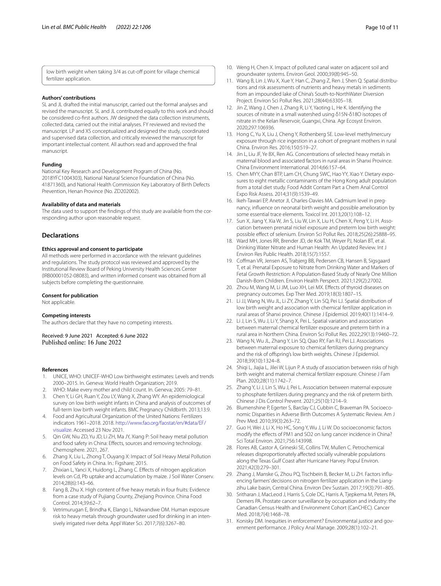low birth weight when taking 3/4 as cut-of point for village chemical fertilizer application.

## **Authors' contributions**

SL and JL drafted the initial manuscript, carried out the formal analyses and revised the manuscript. SL and JL contributed equally to this work and should be considered co-frst authors. JW designed the data collection instruments, collected data, carried out the initial analyses. FY reviewed and revised the manuscript. LP and XS conceptualized and designed the study, coordinated and supervised data collection, and critically reviewed the manuscript for important intellectual content. All authors read and approved the fnal manuscript.

## **Funding**

National Key Research and Development Program of China (No. 2018YFC1004303), National Natural Science Foundation of China (No. 41871360), and National Health Commission Key Laboratory of Birth Defects Prevention, Henan Province (No. ZD202002).

## **Availability of data and materials**

The data used to support the fndings of this study are available from the corresponding author upon reasonable request.

## **Declarations**

#### **Ethics approval and consent to participate**

All methods were performed in accordance with the relevant guidelines and regulations. The study protocol was reviewed and approved by the Institutional Review Board of Peking University Health Sciences Center (IRB00001052-08083), and written informed consent was obtained from all subjects before completing the questionnaire.

#### **Consent for publication**

Not applicable.

#### **Competing interests**

The authors declare that they have no competing interests.

Received: 9 June 2021 Accepted: 6 June 2022 Published online: 16 June 2022

## **References**

- <span id="page-9-0"></span>1. UNICE, WHO: UNICEF-WHO Low birthweight estimates: Levels and trends 2000–2015. In. Geneva: World Health Organization; 2019.
- <span id="page-9-1"></span>2. WHO: Make every mother and child count. In. Geneva; 2005: 79–81.
- <span id="page-9-2"></span>3. Chen Y, Li GH, Ruan Y, Zou LY, Wang X, Zhang WY. An epidemiological survey on low birth weight infants in China and analysis of outcomes of full-term low birth weight infants. BMC Pregnancy Childbirth. 2013;13:9.
- <span id="page-9-3"></span>4. Food and Agricultural Organization of the United Nations: Fertilizers indicators 1961–2018. 2018. [http://www.fao.org/faostat/en/#data/EF/](http://www.fao.org/faostat/en/#data/EF/visualize) [visualize.](http://www.fao.org/faostat/en/#data/EF/visualize) Accessed 23 Nov 2021.
- <span id="page-9-4"></span>5. Qin GW, Niu ZD, Yu JD, Li ZH, Ma JY, Xiang P: Soil heavy metal pollution and food safety in China: Effects, sources and removing technology. Chemosphere. 2021, 267.
- <span id="page-9-5"></span>6. Zhang X, Liu L, Zhong T, Ouyang X: Impact of Soil Heavy Metal Pollution on Food Safety in China. In.: Figshare; 2015.
- <span id="page-9-6"></span>7. Zhixian L, Yanci X, Huidong L, Zhang C. Efects of nitrogen application levels on Cd, Pb uptake and accumulation by maize. J Soil Water Conserv. 2014;28(6):143–66.
- <span id="page-9-7"></span>8. Fang B, Zhu X. High content of fve heavy metals in four fruits: Evidence from a case study of Pujiang County, Zhejiang Province. China Food Control. 2014;39:62–7.
- <span id="page-9-8"></span>9. Vetrimurugan E, Brindha K, Elango L, Ndwandwe OM. Human exposure risk to heavy metals through groundwater used for drinking in an intensively irrigated river delta. Appl Water Sci. 2017;7(6):3267–80.
- <span id="page-9-30"></span>10. Weng H, Chen X. Impact of polluted canal water on adjacent soil and groundwater systems. Environ Geol. 2000;39(8):945–50.
- <span id="page-9-9"></span>11. Wang B, Lin J, Wu X, Xue Y, Han C, Zhang Z, Ren J, Shen Q. Spatial distributions and risk assessments of nutrients and heavy metals in sediments from an impounded lake of China's South-to-NorthWater Diversion Project. Environ Sci Pollut Res. 2021;28(44):63305–18.
- <span id="page-9-10"></span>12. Jin Z, Wang J, Chen J, Zhang R, Li Y, Yaoting L, He K. Identifying the sources of nitrate in a small watershed using δ15N-δ18O isotopes of nitrate in the Kelan Reservoir, Guangxi, China. Agr Ecosyst Environ. 2020;297:106936.
- <span id="page-9-11"></span>13. Hong C, Yu X, Liu J, Cheng Y, Rothenberg SE. Low-level methylmercury exposure through rice ingestion in a cohort of pregnant mothers in rural China. Environ Res. 2016;150:519–27.
- <span id="page-9-12"></span>14. Jin L, Liu JF, Ye BX, Ren AG. Concentrations of selected heavy metals in maternal blood and associated factors in rural areas in Shanxi Province. China Environment International. 2014;66:157–64.
- <span id="page-9-13"></span>15. Chen MYY, Chan BTP, Lam CH, Chung SWC, Hao YY, Xiao Y. Dietary exposures to eight metallic contaminants of the Hong Kong adult population from a total diet study. Food Addit Contam Part a Chem Anal Control Expo Risk Assess. 2014;31(9):1539–49.
- <span id="page-9-14"></span>16. Ikeh-Tawari EP, Anetor JI, Charles-Davies MA. Cadmium level in pregnancy, infuence on neonatal birth weight and possible amelioration by some essential trace elements. Toxicol Int. 2013;20(1):108–12.
- <span id="page-9-15"></span>17. Sun X, Jiang Y, Xia W, Jin S, Liu W, Lin X, Liu H, Chen X, Peng Y, Li H. Association between prenatal nickel exposure and preterm low birth weight: possible efect of selenium. Environ Sci Pollut Res. 2018;25(26):25888–95.
- <span id="page-9-16"></span>18. Ward MH, Jones RR, Brender JD, de Kok TM, Weyer PJ, Nolan BT, et al. Drinking Water Nitrate and Human Health: An Updated Review. Int J Environ Res Public Health. 2018;15(7):1557.
- <span id="page-9-17"></span>19. Cofman VR, Jensen AS, Trabjerg BB, Pedersen CB, Hansen B, Sigsgaard T, et al. Prenatal Exposure to Nitrate from Drinking Water and Markers of Fetal Growth Restriction: A Population-Based Study of Nearly One Million Danish-Born Children. Environ Health Perspect. 2021;129(2):27002.
- <span id="page-9-18"></span>20. Zhou M, Wang M, Li JM, Luo XH, Lei MX. Efects of thyroid diseases on pregnancy outcomes. Exp Ther Med. 2019;18(3):1807–15.
- <span id="page-9-19"></span>21. Li JJ, Wang N, Wu JL, Li ZY, Zhang Y, Lin SQ, Pei LJ. Spatial distribution of low birth weight and association with chemical fertilizer application in rural areas of Shanxi province. Chinese J Epidemiol. 2019;40(11):1414–9.
- <span id="page-9-20"></span>22. Li J, Lin S, Wu J, Li Y, Shang X, Pei L. Spatial variation and association between maternal chemical fertilizer exposure and preterm birth in a rural area in Northern China. Environ Sci Pollut Res. 2022;29(13):19460–72.
- <span id="page-9-21"></span>23. Wang N, Wu JL, Zhang Y, Lin SQ, Qiao RY, Fan RJ, Pei LJ. Associations between maternal exposure to chemical fertilizers during pregnancy and the risk of ofspring's low birth weights. Chinese J Epidemiol. 2018;39(10):1324–8.
- <span id="page-9-22"></span>24. Shiqi L, Jiajia L, Jilei W, Lijun P. A study of association between risks of high birth weight and maternal chemical fertilizer exposure. Chinese J Fam Plan. 2020;28(11):1742–7.
- <span id="page-9-23"></span>25. Zhang Y, Li J, Lin S, Wu J, Pei L. Association between maternal exposure to phosphate fertilizers during pregnancy and the risk of preterm birth. Chinese J Dis Control Prevent. 2021;25(10):1214–9.
- <span id="page-9-24"></span>26. Blumenshine P, Egerter S, Barclay CJ, Cubbin C, Braveman PA. Socioeconomic Disparities in Adverse Birth Outcomes A Systematic Review. Am J Prev Med. 2010;39(3):263–72.
- <span id="page-9-25"></span>27. Guo H, Wei J, Li X, Ho HC, Song Y, Wu J, Li W. Do socioeconomic factors modify the efects of PM1 and SO2 on lung cancer incidence in China? Sci Total Environ. 2021;756:143998.
- <span id="page-9-26"></span>28. Flores AB, Castor A, Grineski SE, Collins TW, Mullen C. Petrochemical releases disproportionately afected socially vulnerable populations along the Texas Gulf Coast after Hurricane Harvey. Popul Environ. 2021;42(3):279–301.
- <span id="page-9-27"></span>29. Zhang J, Manske G, Zhou PQ, Tischbein B, Becker M, Li ZH. Factors infuencing farmers' decisions on nitrogen fertilizer application in the Liangzihu Lake basin, Central China. Environ Dev Sustain. 2017;19(3):791–805.
- <span id="page-9-28"></span>30. Sritharan J, MacLeod J, Harris S, Cole DC, Harris A, Tjepkema M, Peters PA, Demers PA. Prostate cancer surveillance by occupation and industry: the Canadian Census Health and Environment Cohort (CanCHEC). Cancer Med. 2018;7(4):1468–78.
- <span id="page-9-29"></span>31. Konisky DM. Inequities in enforcement? Environmental justice and government performance. J Policy Anal Manage. 2009;28(1):102–21.